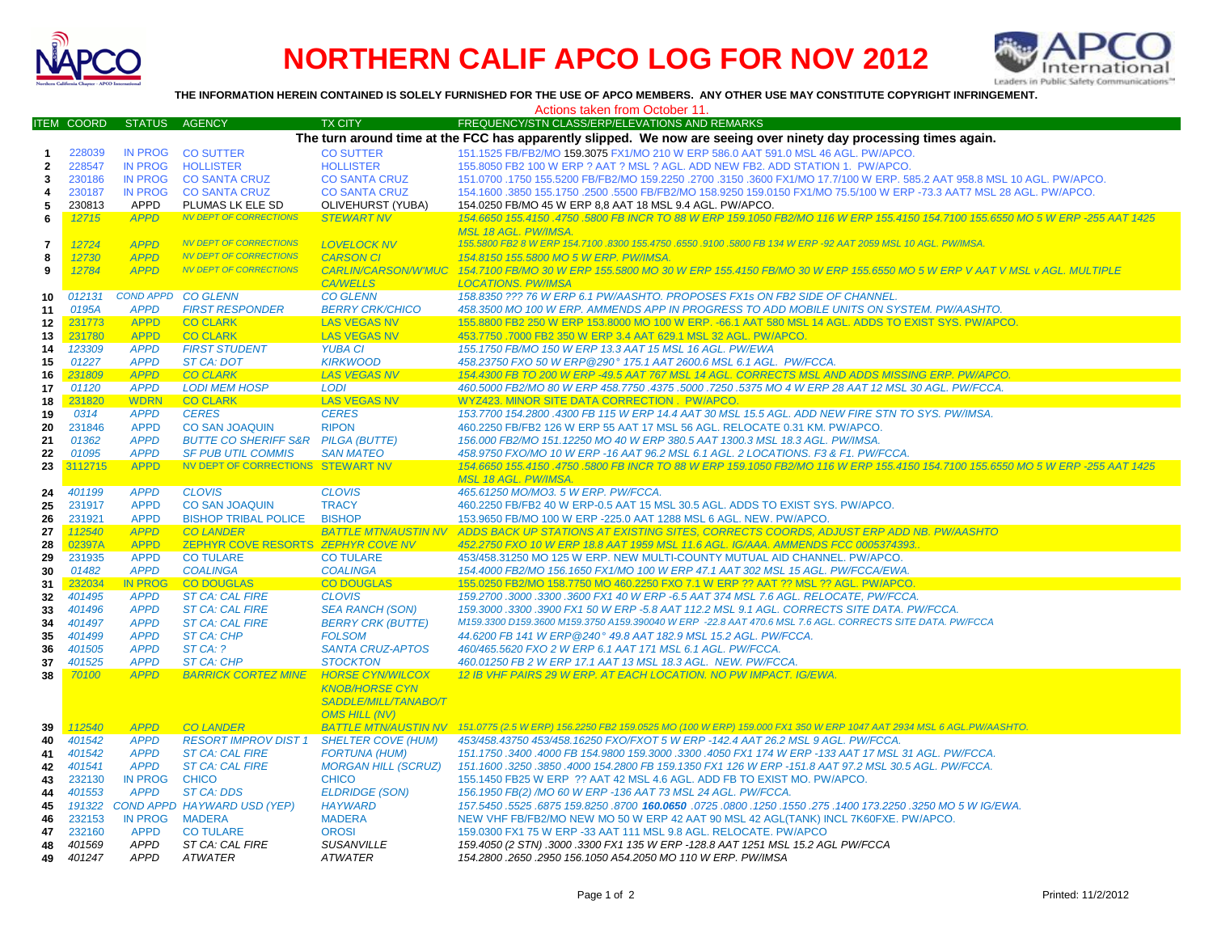



**THE INFORMATION HEREIN CONTAINED IS SOLELY FURNISHED FOR THE USE OF APCO MEMBERS. ANY OTHER USE MAY CONSTITUTE COPYRIGHT INFRINGEMENT.**

| Actions taken from October 11. |                                                                                                                                                       |                  |                                    |                             |                                                                                                                                 |  |  |  |  |  |
|--------------------------------|-------------------------------------------------------------------------------------------------------------------------------------------------------|------------------|------------------------------------|-----------------------------|---------------------------------------------------------------------------------------------------------------------------------|--|--|--|--|--|
|                                | ITEM COORD                                                                                                                                            | <b>STATUS</b>    | <b>AGENCY</b>                      | <b>TX CITY</b>              | FREQUENCY/STN CLASS/ERP/ELEVATIONS AND REMARKS                                                                                  |  |  |  |  |  |
|                                |                                                                                                                                                       |                  |                                    |                             | The turn around time at the FCC has apparently slipped. We now are seeing over ninety day processing times again.               |  |  |  |  |  |
| -1                             | 228039<br><b>IN PROG</b><br><b>CO SUTTER</b><br><b>CO SUTTER</b><br>151.1525 FB/FB2/MO 159.3075 FX1/MO 210 W ERP 586.0 AAT 591.0 MSL 46 AGL. PW/APCO. |                  |                                    |                             |                                                                                                                                 |  |  |  |  |  |
| $\mathbf{2}$                   | 228547                                                                                                                                                | <b>IN PROG</b>   | <b>HOLLISTER</b>                   | <b>HOLLISTER</b>            | 155.8050 FB2 100 W ERP ? AAT ? MSL ? AGL. ADD NEW FB2. ADD STATION 1. PW/APCO.                                                  |  |  |  |  |  |
| 3                              | 230186                                                                                                                                                | <b>IN PROG</b>   | <b>CO SANTA CRUZ</b>               | <b>CO SANTA CRUZ</b>        | 151.0700 .1750 155.5200 FB/FB2/MO 159.2250 .2700 .3150 .3600 FX1/MO 17.7/100 W ERP. 585.2 AAT 958.8 MSL 10 AGL. PW/APCO.        |  |  |  |  |  |
| 4                              | 230187                                                                                                                                                | <b>IN PROG</b>   | <b>CO SANTA CRUZ</b>               | <b>CO SANTA CRUZ</b>        | 154.1600 .3850 155.1750 .2500 .5500 FB/FB2/MO 158.9250 159.0150 FX1/MO 75.5/100 W ERP -73.3 AAT7 MSL 28 AGL. PW/APCO.           |  |  |  |  |  |
| 5                              | 230813                                                                                                                                                | <b>APPD</b>      | PLUMAS LK ELE SD                   | OLIVEHURST (YUBA)           | 154.0250 FB/MO 45 W ERP 8.8 AAT 18 MSL 9.4 AGL. PW/APCO.                                                                        |  |  |  |  |  |
|                                | 12715                                                                                                                                                 | <b>APPD</b>      | <b>NV DEPT OF CORRECTIONS</b>      | <b>STEWART NV</b>           | 154,6650 155,4150 .4750 .5800 FB INCR TO 88 W ERP 159,1050 FB2/MO 116 W ERP 155,4150 154,7100 155,6550 MO 5 W ERP -255 AAT 1425 |  |  |  |  |  |
| 6                              |                                                                                                                                                       |                  |                                    |                             | <b>MSL 18 AGL. PW/IMSA</b>                                                                                                      |  |  |  |  |  |
|                                | 12724                                                                                                                                                 | <b>APPD</b>      | <b>NV DEPT OF CORRECTIONS</b>      | <b>LOVELOCK NV</b>          | 155.5800 FB2 8 W ERP 154.7100 .8300 155.4750 .6550 .9100 .5800 FB 134 W ERP -92 AAT 2059 MSL 10 AGL. PW/IMSA.                   |  |  |  |  |  |
| $\overline{\mathbf{r}}$        |                                                                                                                                                       | <b>APPD</b>      | <b>NV DEPT OF CORRECTIONS</b>      | <b>CARSON CI</b>            | 154.8150 155.5800 MO 5 W ERP. PW/IMSA.                                                                                          |  |  |  |  |  |
| 8                              | 12730                                                                                                                                                 | <b>APPD</b>      | <b>NV DEPT OF CORRECTIONS</b>      |                             |                                                                                                                                 |  |  |  |  |  |
| 9                              | 12784                                                                                                                                                 |                  |                                    | <b>CARLIN/CARSON/W'MUC</b>  | 154.7100 FB/MO 30 W ERP 155.5800 MO 30 W ERP 155.4150 FB/MO 30 W ERP 155.6550 MO 5 W ERP V AAT V MSL v AGL. MULTIPLE            |  |  |  |  |  |
|                                |                                                                                                                                                       |                  |                                    | <b>CA/WELLS</b>             | <b>LOCATIONS, PW/IMSA</b>                                                                                                       |  |  |  |  |  |
| 10                             | 012131                                                                                                                                                | <b>COND APPD</b> | <b>CO GLENN</b>                    | <b>CO GLENN</b>             | 158.8350 ??? 76 W ERP 6.1 PW/AASHTO. PROPOSES FX1s ON FB2 SIDE OF CHANNEL                                                       |  |  |  |  |  |
| 11                             | 0195A                                                                                                                                                 | <b>APPD</b>      | <b>FIRST RESPONDER</b>             | <b>BERRY CRK/CHICO</b>      | 458.3500 MO 100 W ERP. AMMENDS APP IN PROGRESS TO ADD MOBILE UNITS ON SYSTEM. PW/AASHTO                                         |  |  |  |  |  |
| 12                             | 231773                                                                                                                                                | <b>APPD</b>      | <b>CO CLARK</b>                    | <b>LAS VEGAS NV</b>         | 155.8800 FB2 250 W ERP 153.8000 MO 100 W ERP. - 66.1 AAT 580 MSL 14 AGL. ADDS TO EXIST SYS. PW/APCO                             |  |  |  |  |  |
| 13                             | 231780                                                                                                                                                | <b>APPD</b>      | <b>CO CLARK</b>                    | <b>LAS VEGAS NV</b>         | 453.7750 .7000 FB2 350 W ERP 3.4 AAT 629.1 MSL 32 AGL. PW/APCO.                                                                 |  |  |  |  |  |
| 14                             | 123309                                                                                                                                                | <b>APPD</b>      | <b>FIRST STUDENT</b>               | <b>YUBA CI</b>              | 155.1750 FB/MO 150 W ERP 13.3 AAT 15 MSL 16 AGL. PW/EWA                                                                         |  |  |  |  |  |
| 15                             | 01227                                                                                                                                                 | <b>APPD</b>      | <b>ST CA: DOT</b>                  | <b>KIRKWOOD</b>             | 458.23750 FXO 50 W ERP@290° 175.1 AAT 2600.6 MSL 6.1 AGL. PW/FCCA.                                                              |  |  |  |  |  |
| 16                             | 231809                                                                                                                                                | <b>APPD</b>      | <b>CO CLARK</b>                    | <b>LAS VEGAS NV</b>         | 154.4300 FB TO 200 W ERP -49.5 AAT 767 MSL 14 AGL. CORRECTS MSL AND ADDS MISSING ERP. PW/APCO.                                  |  |  |  |  |  |
| 17                             | 01120                                                                                                                                                 | <b>APPD</b>      | <b>LODI MEM HOSP</b>               | <b>LODI</b>                 | 460.5000 FB2/MO 80 W ERP 458.7750 .4375 .5000 .7250 .5375 MO 4 W ERP 28 AAT 12 MSL 30 AGL. PW/FCCA                              |  |  |  |  |  |
| 18                             | 231820                                                                                                                                                | <b>WDRN</b>      | <b>CO CLARK</b>                    | <b>LAS VEGAS NV</b>         | WYZ423, MINOR SITE DATA CORRECTION, PW/APCO,                                                                                    |  |  |  |  |  |
| 19                             | 0314                                                                                                                                                  | <b>APPD</b>      | <b>CERES</b>                       | <b>CERES</b>                | 153.7700 154.2800 .4300 FB 115 W ERP 14.4 AAT 30 MSL 15.5 AGL. ADD NEW FIRE STN TO SYS. PW/IMSA.                                |  |  |  |  |  |
| 20                             | 231846                                                                                                                                                | <b>APPD</b>      | <b>CO SAN JOAQUIN</b>              | <b>RIPON</b>                | 460.2250 FB/FB2 126 W ERP 55 AAT 17 MSL 56 AGL. RELOCATE 0.31 KM. PW/APCO.                                                      |  |  |  |  |  |
| 21                             | 01362                                                                                                                                                 | <b>APPD</b>      | <b>BUTTE CO SHERIFF S&amp;R</b>    | <b>PILGA (BUTTE)</b>        | 156.000 FB2/MO 151.12250 MO 40 W ERP 380.5 AAT 1300.3 MSL 18.3 AGL. PW/IMSA.                                                    |  |  |  |  |  |
| 22                             | 01095                                                                                                                                                 | <b>APPD</b>      | <b>SF PUB UTIL COMMIS</b>          | <b>SAN MATEO</b>            | 458.9750 FXO/MO 10 W ERP -16 AAT 96.2 MSL 6.1 AGL. 2 LOCATIONS. F3 & F1. PW/FCCA.                                               |  |  |  |  |  |
| 23                             | 3112715                                                                                                                                               | <b>APPD</b>      | NV DEPT OF CORRECTIONS STEWART NV  |                             | 154.6650 155.4150 .4750 .5800 FB INCR TO 88 W ERP 159.1050 FB2/MO 116 W ERP 155.4150 154.7100 155.6550 MO 5 W ERP -255 AAT 1425 |  |  |  |  |  |
|                                |                                                                                                                                                       |                  |                                    |                             | <b>MSL 18 AGL, PW/IMSA.</b>                                                                                                     |  |  |  |  |  |
| 24                             | 401199                                                                                                                                                | <b>APPD</b>      | <b>CLOVIS</b>                      | <b>CLOVIS</b>               | 465.61250 MO/MO3. 5 W ERP. PW/FCCA.                                                                                             |  |  |  |  |  |
| 25                             | 231917                                                                                                                                                | <b>APPD</b>      | <b>CO SAN JOAQUIN</b>              | <b>TRACY</b>                | 460.2250 FB/FB2 40 W ERP-0.5 AAT 15 MSL 30.5 AGL. ADDS TO EXIST SYS. PW/APCO.                                                   |  |  |  |  |  |
| 26<br>27                       | 231921                                                                                                                                                | <b>APPD</b>      | <b>BISHOP TRIBAL POLICE</b>        | <b>BISHOP</b>               | 153.9650 FB/MO 100 W ERP -225.0 AAT 1288 MSL 6 AGL. NEW. PW/APCO.                                                               |  |  |  |  |  |
|                                | 112540                                                                                                                                                | <b>APPD</b>      | <b>CO LANDER</b>                   | <b>BATTLE MTN/AUSTIN NV</b> | ADDS BACK UP STATIONS AT EXISTING SITES, CORRECTS COORDS, ADJUST ERP ADD NB. PW/AASHTO                                          |  |  |  |  |  |
| 28                             | 02397A                                                                                                                                                | <b>APPD</b>      | ZEPHYR COVE RESORTS ZEPHYR COVE NV |                             | 452.2750 FXO 10 W ERP 18.8 AAT 1959 MSL 11.6 AGL. IG/AAA. AMMENDS FCC 0005374393.                                               |  |  |  |  |  |
| 29                             | 231935                                                                                                                                                | <b>APPD</b>      | <b>CO TULARE</b>                   | <b>CO TULARE</b>            | 453/458.31250 MO 125 W ERP. NEW MULTI-COUNTY MUTUAL AID CHANNEL. PW/APCO.                                                       |  |  |  |  |  |
| 30                             | 01482                                                                                                                                                 | <b>APPD</b>      | <b>COALINGA</b>                    | <b>COALINGA</b>             | 154.4000 FB2/MO 156.1650 FX1/MO 100 W ERP 47.1 AAT 302 MSL 15 AGL. PW/FCCA/EWA.                                                 |  |  |  |  |  |
| -31                            | 232034                                                                                                                                                | <b>IN PROG</b>   | <b>CO DOUGLAS</b>                  | <b>CO DOUGLAS</b>           | 155.0250 FB2/MO 158.7750 MO 460.2250 FXO 7.1 W ERP ?? AAT ?? MSL ?? AGL. PW/APCO                                                |  |  |  |  |  |
| 32                             | 401495                                                                                                                                                | <b>APPD</b>      | <b>ST CA: CAL FIRE</b>             | <b>CLOVIS</b>               | 159.2700.3000.3300.3600 FX1 40 W ERP -6.5 AAT 374 MSL 7.6 AGL. RELOCATE, PW/FCCA.                                               |  |  |  |  |  |
| 33                             | 401496                                                                                                                                                | <b>APPD</b>      | <b>ST CA: CAL FIRE</b>             | <b>SEA RANCH (SON)</b>      | 159.3000.3300.3900 FX1 50 W ERP -5.8 AAT 112.2 MSL 9.1 AGL. CORRECTS SITE DATA. PW/FCCA.                                        |  |  |  |  |  |
| 34                             | 401497                                                                                                                                                | <b>APPD</b>      | <b>ST CA: CAL FIRE</b>             | <b>BERRY CRK (BUTTE)</b>    | M159.3300 D159.3600 M159.3750 A159.390040 W ERP -22.8 AAT 470.6 MSL 7.6 AGL. CORRECTS SITE DATA. PW/FCCA                        |  |  |  |  |  |
| 35                             | 401499                                                                                                                                                | <b>APPD</b>      | <b>ST CA: CHP</b>                  | <b>FOLSOM</b>               | 44.6200 FB 141 W ERP@240° 49.8 AAT 182.9 MSL 15.2 AGL. PW/FCCA.                                                                 |  |  |  |  |  |
| 36                             | 401505                                                                                                                                                | <b>APPD</b>      | ST CA: ?                           | <b>SANTA CRUZ-APTOS</b>     | 460/465.5620 FXO 2 W ERP 6.1 AAT 171 MSL 6.1 AGL. PW/FCCA.                                                                      |  |  |  |  |  |
| 37                             | 401525                                                                                                                                                | <b>APPD</b>      | ST CA: CHP                         | <b>STOCKTON</b>             | 460.01250 FB 2 W ERP 17.1 AAT 13 MSL 18.3 AGL. NEW. PW/FCCA.                                                                    |  |  |  |  |  |
| 38                             | 70100                                                                                                                                                 | <b>APPD</b>      | <b>BARRICK CORTEZ MINE</b>         | <b>HORSE CYN/WILCOX</b>     | 12 IB VHF PAIRS 29 W ERP. AT EACH LOCATION. NO PW IMPACT. IG/EWA                                                                |  |  |  |  |  |
|                                |                                                                                                                                                       |                  |                                    | <b>KNOB/HORSE CYN</b>       |                                                                                                                                 |  |  |  |  |  |
|                                |                                                                                                                                                       |                  |                                    | SADDLE/MILL/TANABO/T        |                                                                                                                                 |  |  |  |  |  |
|                                |                                                                                                                                                       |                  |                                    | <b>OMS HILL (NV)</b>        |                                                                                                                                 |  |  |  |  |  |
| 39                             | 112540                                                                                                                                                | <b>APPD</b>      | <b>CO LANDER</b>                   | <b>BATTLE MTN/AUSTIN NV</b> | 151.0775 (2.5 W ERP) 156.2250 FB2 159.0525 MO (100 W ERP) 159.000 FX1 350 W ERP 1047 AAT 2934 MSL 6 AGL.PW/AASHTO.              |  |  |  |  |  |
| 40                             | 401542                                                                                                                                                | <b>APPD</b>      | <b>RESORT IMPROV DIST 1</b>        | <b>SHELTER COVE (HUM)</b>   | 453/458.43750 453/458.16250 FXO/FXOT 5 W ERP -142.4 AAT 26.2 MSL 9 AGL. PW/FCCA.                                                |  |  |  |  |  |
| 41                             | 401542                                                                                                                                                | <b>APPD</b>      | <b>ST CA: CAL FIRE</b>             | <b>FORTUNA (HUM)</b>        | 151.1750.3400.4000 FB 154.9800 159.3000.3300.4050 FX1 174 W ERP -133 AAT 17 MSL 31 AGL. PW/FCCA.                                |  |  |  |  |  |
| 42                             | 401541                                                                                                                                                | <b>APPD</b>      | <b>ST CA: CAL FIRE</b>             | <b>MORGAN HILL (SCRUZ)</b>  | 151.1600.3250.3850.4000 154.2800 FB 159.1350 FX1 126 W ERP -151.8 AAT 97.2 MSL 30.5 AGL. PW/FCCA.                               |  |  |  |  |  |
| 43                             | 232130                                                                                                                                                | <b>IN PROG</b>   | <b>CHICO</b>                       | <b>CHICO</b>                | 155.1450 FB25 W ERP ?? AAT 42 MSL 4.6 AGL. ADD FB TO EXIST MO. PW/APCO.                                                         |  |  |  |  |  |
| 44                             | 401553                                                                                                                                                | <b>APPD</b>      | <b>ST CA: DDS</b>                  | <b>ELDRIDGE (SON)</b>       | 156.1950 FB(2) /MO 60 W ERP -136 AAT 73 MSL 24 AGL. PW/FCCA.                                                                    |  |  |  |  |  |
| 45                             | 191322                                                                                                                                                |                  | COND APPD HAYWARD USD (YEP)        | <b>HAYWARD</b>              | .4 H57.5450 .3250 MO 5 W IG/EWA .5700 160.0650 .0725 .0800 .1250 .1550 .275 .1400 173.2250 .3250 MO 5 W IG/EWA                  |  |  |  |  |  |
| 46                             | 232153                                                                                                                                                | <b>IN PROG</b>   | <b>MADERA</b>                      | <b>MADERA</b>               | NEW VHF FB/FB2/MO NEW MO 50 W ERP 42 AAT 90 MSL 42 AGL(TANK) INCL 7K60FXE. PW/APCO.                                             |  |  |  |  |  |
| 47                             | 232160                                                                                                                                                | <b>APPD</b>      | <b>CO TULARE</b>                   | <b>OROSI</b>                | 159.0300 FX1 75 W ERP -33 AAT 111 MSL 9.8 AGL. RELOCATE. PW/APCO                                                                |  |  |  |  |  |
| 48                             | 401569                                                                                                                                                | <b>APPD</b>      | ST CA: CAL FIRE                    | <b>SUSANVILLE</b>           | 159.4050 (2 STN) .3000 .3300 FX1 135 W ERP -128.8 AAT 1251 MSL 15.2 AGL PW/FCCA                                                 |  |  |  |  |  |
| 49                             | 401247                                                                                                                                                | <b>APPD</b>      | <b>ATWATER</b>                     | <b>ATWATER</b>              | 154.2800 .2650 .2950 156.1050 A54.2050 MO 110 W ERP. PW/IMSA                                                                    |  |  |  |  |  |